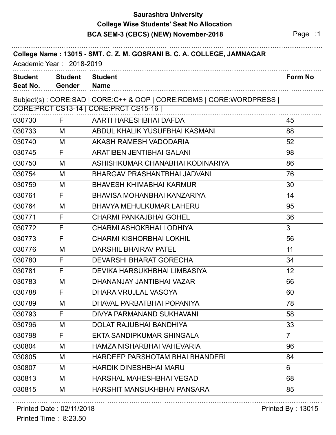### **Saurashtra University BCA SEM-3 (CBCS) (NEW) November-2018** Page :1 **College Wise Students' Seat No Allocation**

|                            | Academic Year: 2018-2019 | College Name: 13015 - SMT. C. Z. M. GOSRANI B. C. A. COLLEGE, JAMNAGAR |                |
|----------------------------|--------------------------|------------------------------------------------------------------------|----------------|
| <b>Student</b><br>Seat No. | <b>Student</b><br>Gender | <b>Student</b><br><b>Name</b>                                          | Form No        |
|                            |                          | Subject(s): CORE:SAD   CORE:C++ & OOP   CORE:RDBMS   CORE:WORDPRESS    |                |
|                            |                          | CORE: PRCT CS13-14   CORE: PRCT CS15-16                                |                |
| 030730                     | F                        | AARTI HARESHBHAI DAFDA                                                 | 45             |
| 030733                     | M                        | ABDUL KHALIK YUSUFBHAI KASMANI                                         | 88             |
| 030740                     | M                        | AKASH RAMESH VADODARIA                                                 | 52             |
| 030745                     | F                        | <b>ARATIBEN JENTIBHAI GALANI</b>                                       | 98             |
| 030750                     | M                        | ASHISHKUMAR CHANABHAI KODINARIYA                                       | 86             |
| 030754                     | M                        | <b>BHARGAV PRASHANTBHAI JADVANI</b>                                    | 76             |
| 030759                     | M                        | <b>BHAVESH KHIMABHAI KARMUR</b>                                        | 30             |
| 030761                     | F                        | BHAVISA MOHANBHAI KANZARIYA                                            | 14             |
| 030764                     | M                        | <b>BHAVYA MEHULKUMAR LAHERU</b>                                        | 95             |
| 030771                     | F                        | <b>CHARMI PANKAJBHAI GOHEL</b>                                         | 36             |
| 030772                     | F                        | <b>CHARMI ASHOKBHAI LODHIYA</b>                                        | 3              |
| 030773                     | F                        | <b>CHARMI KISHORBHAI LOKHIL</b>                                        | 56             |
| 030776                     | M                        | <b>DARSHIL BHAIRAV PATEL</b>                                           | 11             |
| 030780                     | F                        | <b>DEVARSHI BHARAT GORECHA</b>                                         | 34             |
| 030781                     | F                        | DEVIKA HARSUKHBHAI LIMBASIYA                                           | 12             |
| 030783                     | M                        | DHANANJAY JANTIBHAI VAZAR                                              | 66             |
| 030788                     | F                        | DHARA VRUJLAL VASOYA                                                   | 60             |
| 030789                     | М                        | DHAVAL PARBATBHAI POPANIYA                                             | 78             |
| 030793                     | F                        | DIVYA PARMANAND SUKHAVANI                                              | 58             |
| 030796                     | M                        | <b>DOLAT RAJUBHAI BANDHIYA</b>                                         | 33             |
| 030798                     | F                        | EKTA SANDIPKUMAR SHINGALA                                              | $\overline{7}$ |
| 030804                     | M                        | HAMZA NISHARBHAI VAHEVARIA                                             | 96             |
| 030805                     | M                        | HARDEEP PARSHOTAM BHAI BHANDERI                                        | 84             |
| 030807                     | M                        | <b>HARDIK DINESHBHAI MARU</b>                                          | 6              |
| 030813                     | M                        | <b>HARSHAL MAHESHBHAI VEGAD</b>                                        | 68             |
| 030815                     | M                        | HARSHIT MANSUKHBHAI PANSARA                                            | 85             |
|                            |                          |                                                                        |                |

#### Printed Date : 02/11/2018 **Printed By : 13015**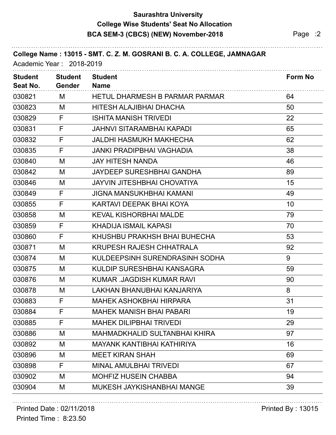### **Saurashtra University BCA SEM-3 (CBCS) (NEW) November-2018** Page :2 **College Wise Students' Seat No Allocation**

| College Name: 13015 - SMT. C. Z. M. GOSRANI B. C. A. COLLEGE, JAMNAGAR<br>Academic Year: 2018-2019 |                                 |                                       |                |
|----------------------------------------------------------------------------------------------------|---------------------------------|---------------------------------------|----------------|
| <b>Student</b><br>Seat No.                                                                         | <b>Student</b><br><b>Gender</b> | <b>Student</b><br><b>Name</b>         | <b>Form No</b> |
| 030821                                                                                             | М                               | <b>HETUL DHARMESH B PARMAR PARMAR</b> | 64             |
| 030823                                                                                             | M                               | HITESH ALAJIBHAI DHACHA               | 50             |
| 030829                                                                                             | F                               | <b>ISHITA MANISH TRIVEDI</b>          | 22             |
| 030831                                                                                             | F                               | <b>JAHNVI SITARAMBHAI KAPADI</b>      | 65             |
| 030832                                                                                             | F                               | JALDHI HASMUKH MAKHECHA               | 62             |
| 030835                                                                                             | F                               | <b>JANKI PRADIPBHAI VAGHADIA</b>      | 38             |
| 030840                                                                                             | M                               | <b>JAY HITESH NANDA</b>               | 46             |
| 030842                                                                                             | M                               | <b>JAYDEEP SURESHBHAI GANDHA</b>      | 89             |
| 030846                                                                                             | M                               | <b>JAYVIN JITESHBHAI CHOVATIYA</b>    | 15             |
| 030849                                                                                             | F                               | <b>JIGNA MANSUKHBHAI KAMANI</b>       | 49             |
| 030855                                                                                             | F                               | KARTAVI DEEPAK BHAI KOYA              | 10             |
| 030858                                                                                             | M                               | <b>KEVAL KISHORBHAI MALDE</b>         | 79             |
| 030859                                                                                             | F                               | KHADIJA ISMAIL KAPASI                 | 70             |
| 030860                                                                                             | F                               | KHUSHBU PRAKHSH BHAI BUHECHA          | 53             |
| 030871                                                                                             | M                               | <b>KRUPESH RAJESH CHHATRALA</b>       | 92             |
| 030874                                                                                             | M                               | KULDEEPSINH SURENDRASINH SODHA        | 9              |
| 030875                                                                                             | M                               | KULDIP SURESHBHAI KANSAGRA            | 59             |
| 030876                                                                                             | M                               | <b>KUMAR .JAGDISH KUMAR RAVI</b>      | 90             |
| 030878                                                                                             | M                               | LAKHAN BHANUBHAI KANJARIYA            | 8              |
| 030883                                                                                             | F                               | <b>MAHEK ASHOKBHAI HIRPARA</b>        | 31             |
| 030884                                                                                             | F                               | <b>MAHEK MANISH BHAI PABARI</b>       | 19             |
| 030885                                                                                             | F                               | <b>MAHEK DILIPBHAI TRIVEDI</b>        | 29             |
| 030886                                                                                             | M                               | MAHMADKHALID SULTANBHAI KHIRA         | 97             |
| 030892                                                                                             | M                               | MAYANK KANTIBHAI KATHIRIYA            | 16             |
| 030896                                                                                             | M                               | <b>MEET KIRAN SHAH</b>                | 69             |
| 030898                                                                                             | F                               | <b>MINAL AMULBHAI TRIVEDI</b>         | 67             |
| 030902                                                                                             | M                               | <b>MOHFIZ HUSEIN CHABBA</b>           | 94             |
| 030904                                                                                             | M                               | MUKESH JAYKISHANBHAI MANGE            | 39             |

# Printed Date : 02/11/2018 **Printed By : 13015**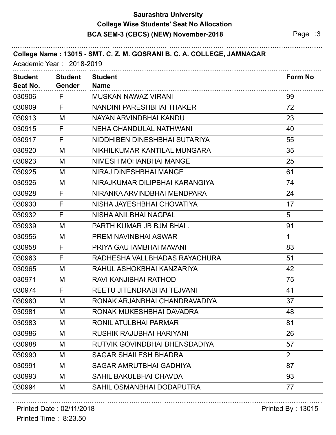## **Saurashtra University BCA SEM-3 (CBCS) (NEW) November-2018** Page :3 **College Wise Students' Seat No Allocation**

| College Name: 13015 - SMT. C. Z. M. GOSRANI B. C. A. COLLEGE, JAMNAGAR<br>Academic Year: 2018-2019 |                                 |                                  |         |
|----------------------------------------------------------------------------------------------------|---------------------------------|----------------------------------|---------|
| <b>Student</b><br>Seat No.                                                                         | <b>Student</b><br><b>Gender</b> | <b>Student</b><br><b>Name</b>    | Form No |
| 030906                                                                                             | F                               | <b>MUSKAN NAWAZ VIRANI</b>       | 99      |
| 030909                                                                                             | F                               | <b>NANDINI PARESHBHAI THAKER</b> | 72      |
| 030913                                                                                             | M                               | NAYAN ARVINDBHAI KANDU           | 23      |
| 030915                                                                                             | F                               | <b>NEHA CHANDULAL NATHWANI</b>   | 40      |
| 030917                                                                                             | F                               | NIDDHIBEN DINESHBHAI SUTARIYA    | 55      |
| 030920                                                                                             | M                               | NIKHILKUMAR KANTILAL MUNGARA     | 35      |
| 030923                                                                                             | M                               | NIMESH MOHANBHAI MANGE           | 25      |
| 030925                                                                                             | M                               | NIRAJ DINESHBHAI MANGE           | 61      |
| 030926                                                                                             | M                               | NIRAJKUMAR DILIPBHAI KARANGIYA   | 74      |
| 030928                                                                                             | F                               | NIRANKA ARVINDBHAI MENDPARA      | 24      |
| 030930                                                                                             | F                               | NISHA JAYESHBHAI CHOVATIYA       | 17      |
| 030932                                                                                             | F                               | NISHA ANILBHAI NAGPAL            | 5       |
| 030939                                                                                             | M                               | PARTH KUMAR JB BJM BHAI.         | 91      |
| 030956                                                                                             | M                               | PREM NAVINBHAI ASWAR             | 1       |
| 030958                                                                                             | F                               | PRIYA GAUTAMBHAI MAVANI          | 83      |
| 030963                                                                                             | F                               | RADHESHA VALLBHADAS RAYACHURA    | 51      |
| 030965                                                                                             | M                               | RAHUL ASHOKBHAI KANZARIYA        | 42      |
| 030971                                                                                             | M                               | RAVI KANJIBHAI RATHOD            | 75      |
| 030974                                                                                             | F                               | REETU JITENDRABHAI TEJVANI       | 41      |
| 030980                                                                                             | М                               | RONAK ARJANBHAI CHANDRAVADIYA    | 37      |
| 030981                                                                                             | M                               | RONAK MUKESHBHAI DAVADRA         | 48      |
| 030983                                                                                             | M                               | RONIL ATULBHAI PARMAR            | 81      |
| 030986                                                                                             | M                               | <b>RUSHIK RAJUBHAI HARIYANI</b>  | 26      |
| 030988                                                                                             | M                               | RUTVIK GOVINDBHAI BHENSDADIYA    | 57      |
| 030990                                                                                             | M                               | <b>SAGAR SHAILESH BHADRA</b>     | 2       |
| 030991                                                                                             | M                               | <b>SAGAR AMRUTBHAI GADHIYA</b>   | 87      |
| 030993                                                                                             | M                               | <b>SAHIL BAKULBHAI CHAVDA</b>    | 93      |
| 030994                                                                                             | M                               | SAHIL OSMANBHAI DODAPUTRA        | 77      |
|                                                                                                    |                                 |                                  |         |

# Printed Date : 02/11/2018 **Printed By : 13015**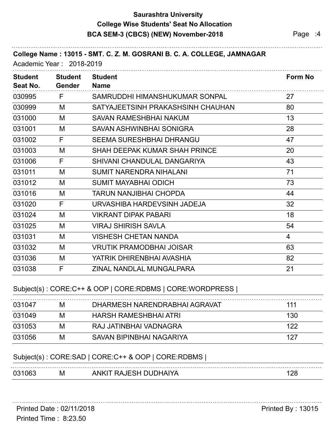### **Saurashtra University BCA SEM-3 (CBCS) (NEW) November-2018** Page :4 **College Wise Students' Seat No Allocation**

. . . . . . . . . . . . . .

| <b>Student</b><br>Seat No. | <b>Student</b><br><b>Gender</b> | <b>Student</b><br><b>Name</b>        | <b>Form No</b> |
|----------------------------|---------------------------------|--------------------------------------|----------------|
| 030995                     | F.                              | SAMRUDDHI HIMANSHUKUMAR SONPAL       | 27             |
| 030999                     | M                               | SATYAJEETSINH PRAKASHSINH CHAUHAN    | 80             |
| 031000                     | M                               | <b>SAVAN RAMESHBHAI NAKUM</b>        | 13             |
| 031001                     | M                               | SAVAN ASHWINBHAI SONIGRA             | 28             |
| 031002                     | F                               | <b>SEEMA SURESHBHAI DHRANGU</b>      | 47             |
| 031003                     | M                               | <b>SHAH DEEPAK KUMAR SHAH PRINCE</b> | 20             |
| 031006                     | F                               | SHIVANI CHANDULAL DANGARIYA          | 43             |
| 031011                     | M                               | <b>SUMIT NARENDRA NIHALANI</b>       | 71             |
| 031012                     | M                               | <b>SUMIT MAYABHAI ODICH</b>          | 73             |
| 031016                     | M                               | <b>TARUN NANJIBHAI CHOPDA</b>        | 44             |
| 031020                     | F.                              | URVASHIBA HARDEVSINH JADEJA          | 32             |
| 031024                     | M                               | <b>VIKRANT DIPAK PABARI</b>          | 18             |
| 031025                     | M                               | <b>VIRAJ SHIRISH SAVLA</b>           | 54             |
| 031031                     | M                               | <b>VISHESH CHETAN NANDA</b>          | $\overline{4}$ |
| 031032                     | M                               | <b>VRUTIK PRAMODBHAI JOISAR</b>      | 63             |
| 031036                     | M                               | YATRIK DHIRENBHAI AVASHIA            | 82             |
| 031038                     | F                               | ZINAL NANDLAL MUNGALPARA             | 21             |

#### Subject(s) : CORE:C++ & OOP | CORE:RDBMS | CORE:WORDPRESS |

| 031047 | M | DHARMESH NARENDRABHAI AGRAVAT | 111 |
|--------|---|-------------------------------|-----|
| 031049 | M | HARSH RAMESHBHAI ATRI         | 130 |
| 031053 | M | RAJ JATINBHAI VADNAGRA        | 122 |
| 031056 | M | SAVAN BIPINBHAI NAGARIYA      | 127 |

#### Subject(s) : CORE:SAD | CORE:C++ & OOP | CORE:RDBMS |

Printed Date : 02/11/2018 **Printed By : 13015**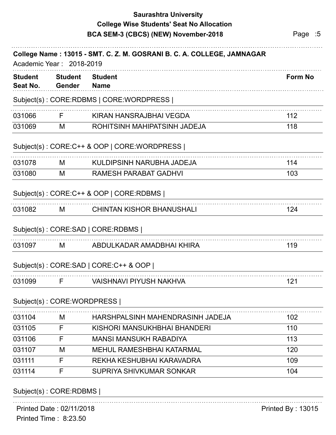## **Saurashtra University BCA SEM-3 (CBCS) (NEW) November-2018** Page :5 **College Wise Students' Seat No Allocation**

| <b>Student</b><br>Seat No. | <b>Student</b><br>Gender    | <b>Student</b><br><b>Name</b>                | Form No           |
|----------------------------|-----------------------------|----------------------------------------------|-------------------|
|                            |                             | Subject(s): CORE:RDBMS   CORE:WORDPRESS      |                   |
| 031066                     | F.                          | KIRAN HANSRAJBHAI VEGDA                      | 112               |
| 031069                     | M                           | ROHITSINH MAHIPATSINH JADEJA                 | 118               |
|                            |                             | Subject(s): CORE:C++ & OOP   CORE: WORDPRESS |                   |
| 031078                     | M                           | KULDIPSINH NARUBHA JADEJA                    | 114               |
| 031080                     | M                           | <b>RAMESH PARABAT GADHVI</b>                 | 103               |
|                            |                             | Subject(s): CORE:C++ & OOP   CORE:RDBMS      |                   |
| 031082                     | M                           | <b>CHINTAN KISHOR BHANUSHALI</b>             | 124               |
|                            |                             | Subject(s): CORE:SAD   CORE:RDBMS            |                   |
| 031097                     | M                           | ABDULKADAR AMADBHAI KHIRA                    | 119               |
|                            |                             | Subject(s): CORE:SAD   CORE:C++ & OOP        |                   |
| 031099                     | F                           | <b>VAISHNAVI PIYUSH NAKHVA</b>               | 121               |
|                            | Subject(s): CORE: WORDPRESS |                                              |                   |
| 031104                     | M                           | HARSHPALSINH MAHENDRASINH JADEJA             | 102               |
| 031105                     | F                           | KISHORI MANSUKHBHAI BHANDERI                 | 110               |
| 031106                     | F                           | <b>MANSI MANSUKH RABADIYA</b>                | 113               |
| 031107                     | M                           | <b>MEHUL RAMESHBHAI KATARMAL</b>             | 120               |
| 031111                     | F                           | REKHA KESHUBHAI KARAVADRA                    | 109               |
| 031114                     | F                           | SUPRIYA SHIVKUMAR SONKAR                     | 104               |
|                            | Subject(s): CORE:RDBMS      |                                              |                   |
|                            | Printed Date: 02/11/2018    |                                              | Printed By: 13015 |